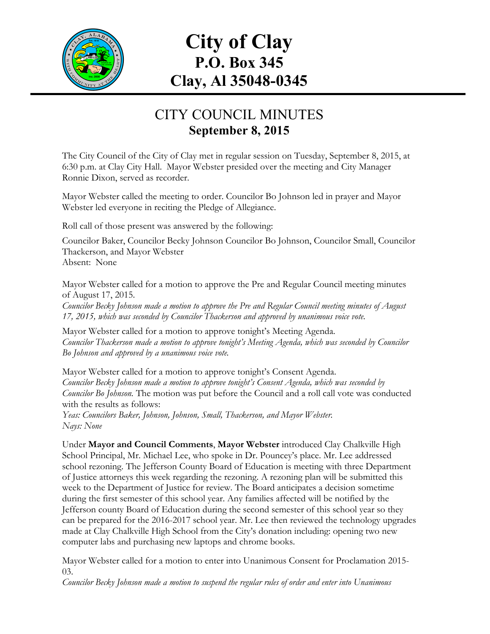

# **City of Clay P.O. Box 345 Clay, Al 35048-0345**

## CITY COUNCIL MINUTES **September 8, 2015**

The City Council of the City of Clay met in regular session on Tuesday, September 8, 2015, at 6:30 p.m. at Clay City Hall. Mayor Webster presided over the meeting and City Manager Ronnie Dixon, served as recorder.

Mayor Webster called the meeting to order. Councilor Bo Johnson led in prayer and Mayor Webster led everyone in reciting the Pledge of Allegiance.

Roll call of those present was answered by the following:

Councilor Baker, Councilor Becky Johnson Councilor Bo Johnson, Councilor Small, Councilor Thackerson, and Mayor Webster Absent: None

Mayor Webster called for a motion to approve the Pre and Regular Council meeting minutes of August 17, 2015.

*Councilor Becky Johnson made a motion to approve the Pre and Regular Council meeting minutes of August 17, 2015, which was seconded by Councilor Thackerson and approved by unanimous voice vote.*

Mayor Webster called for a motion to approve tonight's Meeting Agenda. *Councilor Thackerson made a motion to approve tonight's Meeting Agenda, which was seconded by Councilor Bo Johnson and approved by a unanimous voice vote.*

Mayor Webster called for a motion to approve tonight's Consent Agenda. *Councilor Becky Johnson made a motion to approve tonight's Consent Agenda, which was seconded by Councilor Bo Johnson.* The motion was put before the Council and a roll call vote was conducted with the results as follows:

*Yeas: Councilors Baker, Johnson, Johnson, Small, Thackerson, and Mayor Webster. Nays: None*

Under **Mayor and Council Comments**, **Mayor Webster** introduced Clay Chalkville High School Principal, Mr. Michael Lee, who spoke in Dr. Pouncey's place. Mr. Lee addressed school rezoning. The Jefferson County Board of Education is meeting with three Department of Justice attorneys this week regarding the rezoning. A rezoning plan will be submitted this week to the Department of Justice for review. The Board anticipates a decision sometime during the first semester of this school year. Any families affected will be notified by the Jefferson county Board of Education during the second semester of this school year so they can be prepared for the 2016-2017 school year. Mr. Lee then reviewed the technology upgrades made at Clay Chalkville High School from the City's donation including: opening two new computer labs and purchasing new laptops and chrome books.

Mayor Webster called for a motion to enter into Unanimous Consent for Proclamation 2015- 03.

*Councilor Becky Johnson made a motion to suspend the regular rules of order and enter into Unanimous*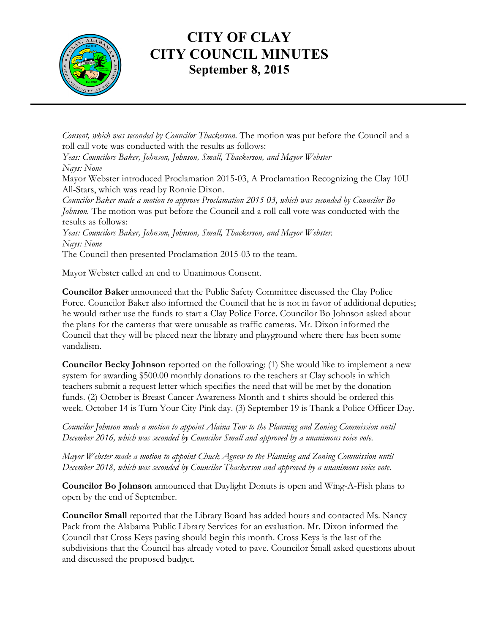

## **CITY OF CLAY CITY COUNCIL MINUTES September 8, 2015**

*Consent, which was seconded by Councilor Thackerson.* The motion was put before the Council and a roll call vote was conducted with the results as follows:

*Yeas: Councilors Baker, Johnson, Johnson, Small, Thackerson, and Mayor Webster Nays: None*

Mayor Webster introduced Proclamation 2015-03, A Proclamation Recognizing the Clay 10U All-Stars, which was read by Ronnie Dixon.

*Councilor Baker made a motion to approve Proclamation 2015-03, which was seconded by Councilor Bo Johnson.* The motion was put before the Council and a roll call vote was conducted with the results as follows:

*Yeas: Councilors Baker, Johnson, Johnson, Small, Thackerson, and Mayor Webster. Nays: None*

The Council then presented Proclamation 2015-03 to the team.

Mayor Webster called an end to Unanimous Consent.

**Councilor Baker** announced that the Public Safety Committee discussed the Clay Police Force. Councilor Baker also informed the Council that he is not in favor of additional deputies; he would rather use the funds to start a Clay Police Force. Councilor Bo Johnson asked about the plans for the cameras that were unusable as traffic cameras. Mr. Dixon informed the Council that they will be placed near the library and playground where there has been some vandalism.

**Councilor Becky Johnson** reported on the following: (1) She would like to implement a new system for awarding \$500.00 monthly donations to the teachers at Clay schools in which teachers submit a request letter which specifies the need that will be met by the donation funds. (2) October is Breast Cancer Awareness Month and t-shirts should be ordered this week. October 14 is Turn Your City Pink day. (3) September 19 is Thank a Police Officer Day.

*Councilor Johnson made a motion to appoint Alaina Tow to the Planning and Zoning Commission until December 2016, which was seconded by Councilor Small and approved by a unanimous voice vote.*

*Mayor Webster made a motion to appoint Chuck Agnew to the Planning and Zoning Commission until December 2018, which was seconded by Councilor Thackerson and approved by a unanimous voice vote.*

**Councilor Bo Johnson** announced that Daylight Donuts is open and Wing-A-Fish plans to open by the end of September.

**Councilor Small** reported that the Library Board has added hours and contacted Ms. Nancy Pack from the Alabama Public Library Services for an evaluation. Mr. Dixon informed the Council that Cross Keys paving should begin this month. Cross Keys is the last of the subdivisions that the Council has already voted to pave. Councilor Small asked questions about and discussed the proposed budget.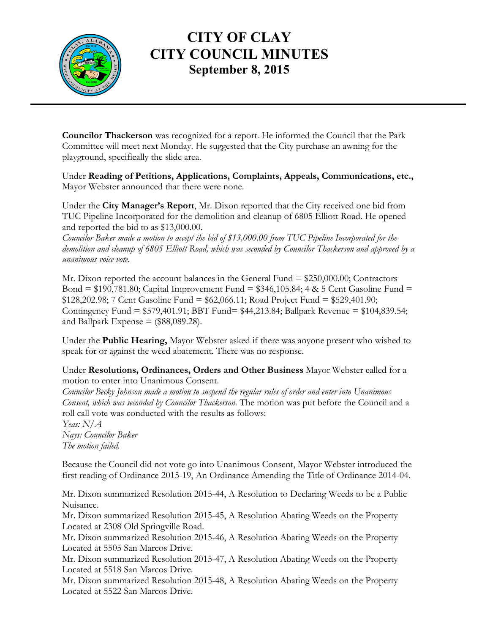

## **CITY OF CLAY CITY COUNCIL MINUTES September 8, 2015**

**Councilor Thackerson** was recognized for a report. He informed the Council that the Park Committee will meet next Monday. He suggested that the City purchase an awning for the playground, specifically the slide area.

Under **Reading of Petitions, Applications, Complaints, Appeals, Communications, etc.,** Mayor Webster announced that there were none.

Under the **City Manager's Report**, Mr. Dixon reported that the City received one bid from TUC Pipeline Incorporated for the demolition and cleanup of 6805 Elliott Road. He opened and reported the bid to as \$13,000.00.

*Councilor Baker made a motion to accept the bid of \$13,000.00 from TUC Pipeline Incorporated for the demolition and cleanup of 6805 Elliott Road, which was seconded by Councilor Thackerson and approved by a unanimous voice vote.*

Mr. Dixon reported the account balances in the General Fund  $= $250,000.00;$  Contractors Bond =  $$190,781.80$ ; Capital Improvement Fund =  $$346,105.84$ ; 4 & 5 Cent Gasoline Fund = \$128,202.98; 7 Cent Gasoline Fund = \$62,066.11; Road Project Fund = \$529,401.90; Contingency Fund = \$579,401.91; BBT Fund= \$44,213.84; Ballpark Revenue = \$104,839.54; and Ballpark Expense  $=$  (\$88,089.28).

Under the **Public Hearing,** Mayor Webster asked if there was anyone present who wished to speak for or against the weed abatement. There was no response.

#### Under **Resolutions, Ordinances, Orders and Other Business** Mayor Webster called for a motion to enter into Unanimous Consent.

*Councilor Becky Johnson made a motion to suspend the regular rules of order and enter into Unanimous Consent, which was seconded by Councilor Thackerson.* The motion was put before the Council and a roll call vote was conducted with the results as follows:

*Yeas: N/A Nays: Councilor Baker The motion failed.*

Because the Council did not vote go into Unanimous Consent, Mayor Webster introduced the first reading of Ordinance 2015-19, An Ordinance Amending the Title of Ordinance 2014-04.

Mr. Dixon summarized Resolution 2015-44, A Resolution to Declaring Weeds to be a Public Nuisance.

Mr. Dixon summarized Resolution 2015-45, A Resolution Abating Weeds on the Property Located at 2308 Old Springville Road.

Mr. Dixon summarized Resolution 2015-46, A Resolution Abating Weeds on the Property Located at 5505 San Marcos Drive.

Mr. Dixon summarized Resolution 2015-47, A Resolution Abating Weeds on the Property Located at 5518 San Marcos Drive.

Mr. Dixon summarized Resolution 2015-48, A Resolution Abating Weeds on the Property Located at 5522 San Marcos Drive.